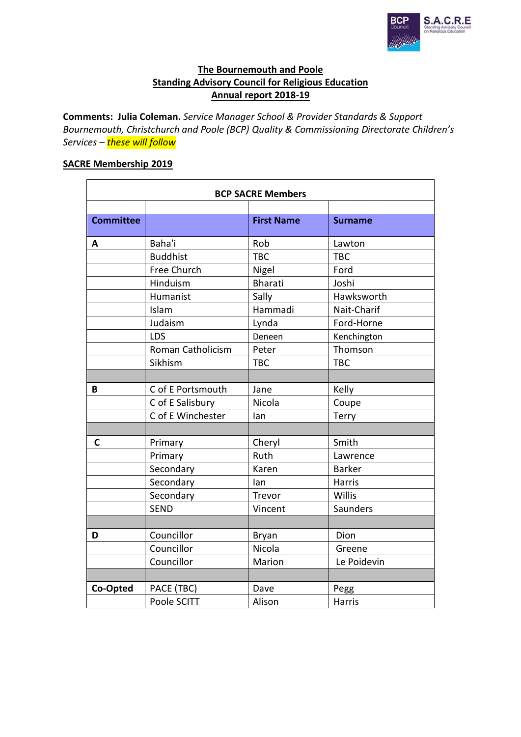

# **The Bournemouth and Poole Standing Advisory Council for Religious Education Annual report 2018-19**

**Comments: Julia Coleman.** *Service Manager School & Provider Standards & Support Bournemouth, Christchurch and Poole (BCP) Quality & Commissioning Directorate Children's Services – these will follow*

# **SACRE Membership 2019**

| <b>BCP SACRE Members</b> |                   |                   |                |
|--------------------------|-------------------|-------------------|----------------|
|                          |                   |                   |                |
| <b>Committee</b>         |                   | <b>First Name</b> | <b>Surname</b> |
| A                        | Baha'i            | Rob               | Lawton         |
|                          | <b>Buddhist</b>   | <b>TBC</b>        | <b>TBC</b>     |
|                          | Free Church       | Nigel             | Ford           |
|                          | Hinduism          | <b>Bharati</b>    | Joshi          |
|                          | Humanist          | Sally             | Hawksworth     |
|                          | Islam             | Hammadi           | Nait-Charif    |
|                          | Judaism           | Lynda             | Ford-Horne     |
|                          | LDS               | Deneen            | Kenchington    |
|                          | Roman Catholicism | Peter             | Thomson        |
|                          | Sikhism           | <b>TBC</b>        | <b>TBC</b>     |
|                          |                   |                   |                |
| B                        | C of E Portsmouth | Jane              | Kelly          |
|                          | C of E Salisbury  | Nicola            | Coupe          |
|                          | C of E Winchester | lan               | Terry          |
|                          |                   |                   |                |
| $\mathsf{C}$             | Primary           | Cheryl            | Smith          |
|                          | Primary           | Ruth              | Lawrence       |
|                          | Secondary         | Karen             | <b>Barker</b>  |
|                          | Secondary         | lan               | Harris         |
|                          | Secondary         | Trevor            | Willis         |
|                          | <b>SEND</b>       | Vincent           | Saunders       |
|                          |                   |                   |                |
| D                        | Councillor        | <b>Bryan</b>      | Dion           |
|                          | Councillor        | Nicola            | Greene         |
|                          | Councillor        | Marion            | Le Poidevin    |
|                          |                   |                   |                |
| Co-Opted                 | PACE (TBC)        | Dave              | Pegg           |
|                          | Poole SCITT       | Alison            | <b>Harris</b>  |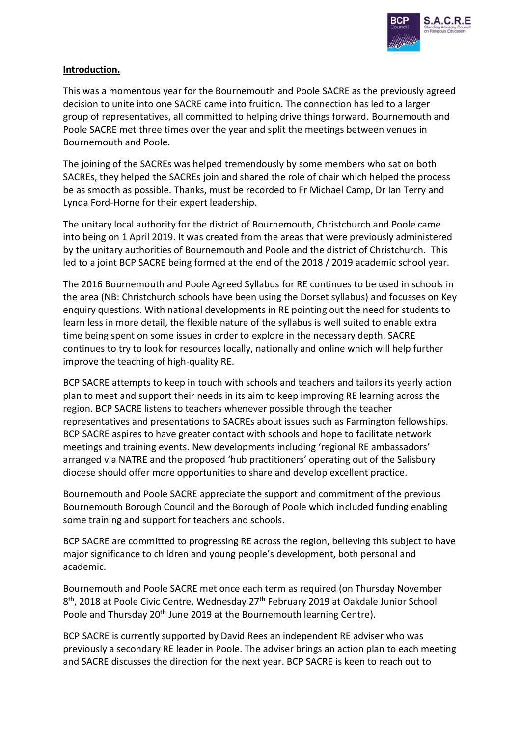

## **Introduction.**

This was a momentous year for the Bournemouth and Poole SACRE as the previously agreed decision to unite into one SACRE came into fruition. The connection has led to a larger group of representatives, all committed to helping drive things forward. Bournemouth and Poole SACRE met three times over the year and split the meetings between venues in Bournemouth and Poole.

The joining of the SACREs was helped tremendously by some members who sat on both SACREs, they helped the SACREs join and shared the role of chair which helped the process be as smooth as possible. Thanks, must be recorded to Fr Michael Camp, Dr Ian Terry and Lynda Ford-Horne for their expert leadership.

The unitary local authority for the district of Bournemouth, Christchurch and Poole came into being on 1 April 2019. It was created from the areas that were previously administered by the unitary authorities of Bournemouth and Poole and the district of Christchurch. This led to a joint BCP SACRE being formed at the end of the 2018 / 2019 academic school year.

The 2016 Bournemouth and Poole Agreed Syllabus for RE continues to be used in schools in the area (NB: Christchurch schools have been using the Dorset syllabus) and focusses on Key enquiry questions. With national developments in RE pointing out the need for students to learn less in more detail, the flexible nature of the syllabus is well suited to enable extra time being spent on some issues in order to explore in the necessary depth. SACRE continues to try to look for resources locally, nationally and online which will help further improve the teaching of high-quality RE.

BCP SACRE attempts to keep in touch with schools and teachers and tailors its yearly action plan to meet and support their needs in its aim to keep improving RE learning across the region. BCP SACRE listens to teachers whenever possible through the teacher representatives and presentations to SACREs about issues such as Farmington fellowships. BCP SACRE aspires to have greater contact with schools and hope to facilitate network meetings and training events. New developments including 'regional RE ambassadors' arranged via NATRE and the proposed 'hub practitioners' operating out of the Salisbury diocese should offer more opportunities to share and develop excellent practice.

Bournemouth and Poole SACRE appreciate the support and commitment of the previous Bournemouth Borough Council and the Borough of Poole which included funding enabling some training and support for teachers and schools.

BCP SACRE are committed to progressing RE across the region, believing this subject to have major significance to children and young people's development, both personal and academic.

Bournemouth and Poole SACRE met once each term as required (on Thursday November 8<sup>th</sup>, 2018 at Poole Civic Centre, Wednesday 27<sup>th</sup> February 2019 at Oakdale Junior School Poole and Thursday 20<sup>th</sup> June 2019 at the Bournemouth learning Centre).

BCP SACRE is currently supported by David Rees an independent RE adviser who was previously a secondary RE leader in Poole. The adviser brings an action plan to each meeting and SACRE discusses the direction for the next year. BCP SACRE is keen to reach out to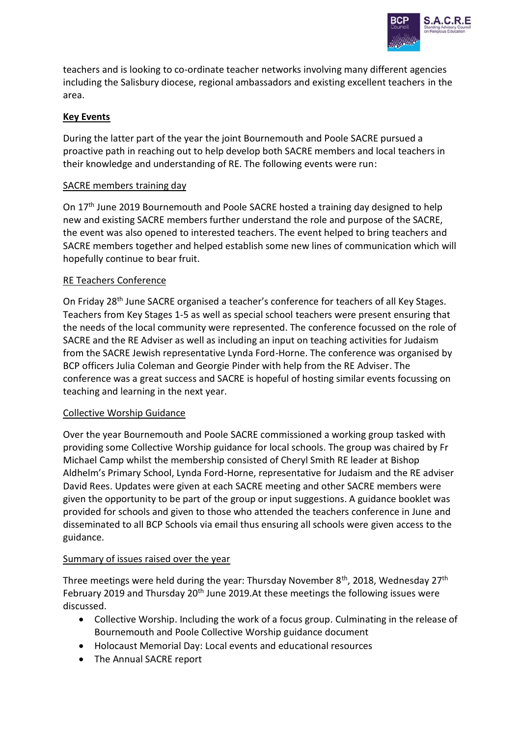

teachers and is looking to co-ordinate teacher networks involving many different agencies including the Salisbury diocese, regional ambassadors and existing excellent teachers in the area.

# **Key Events**

During the latter part of the year the joint Bournemouth and Poole SACRE pursued a proactive path in reaching out to help develop both SACRE members and local teachers in their knowledge and understanding of RE. The following events were run:

## SACRE members training day

On 17th June 2019 Bournemouth and Poole SACRE hosted a training day designed to help new and existing SACRE members further understand the role and purpose of the SACRE, the event was also opened to interested teachers. The event helped to bring teachers and SACRE members together and helped establish some new lines of communication which will hopefully continue to bear fruit.

## RE Teachers Conference

On Friday 28th June SACRE organised a teacher's conference for teachers of all Key Stages. Teachers from Key Stages 1-5 as well as special school teachers were present ensuring that the needs of the local community were represented. The conference focussed on the role of SACRE and the RE Adviser as well as including an input on teaching activities for Judaism from the SACRE Jewish representative Lynda Ford-Horne. The conference was organised by BCP officers Julia Coleman and Georgie Pinder with help from the RE Adviser. The conference was a great success and SACRE is hopeful of hosting similar events focussing on teaching and learning in the next year.

#### Collective Worship Guidance

Over the year Bournemouth and Poole SACRE commissioned a working group tasked with providing some Collective Worship guidance for local schools. The group was chaired by Fr Michael Camp whilst the membership consisted of Cheryl Smith RE leader at Bishop Aldhelm's Primary School, Lynda Ford-Horne, representative for Judaism and the RE adviser David Rees. Updates were given at each SACRE meeting and other SACRE members were given the opportunity to be part of the group or input suggestions. A guidance booklet was provided for schools and given to those who attended the teachers conference in June and disseminated to all BCP Schools via email thus ensuring all schools were given access to the guidance.

## Summary of issues raised over the year

Three meetings were held during the year: Thursday November  $8<sup>th</sup>$ , 2018, Wednesday 27<sup>th</sup> February 2019 and Thursday 20<sup>th</sup> June 2019.At these meetings the following issues were discussed.

- Collective Worship. Including the work of a focus group. Culminating in the release of Bournemouth and Poole Collective Worship guidance document
- Holocaust Memorial Day: Local events and educational resources
- The Annual SACRE report